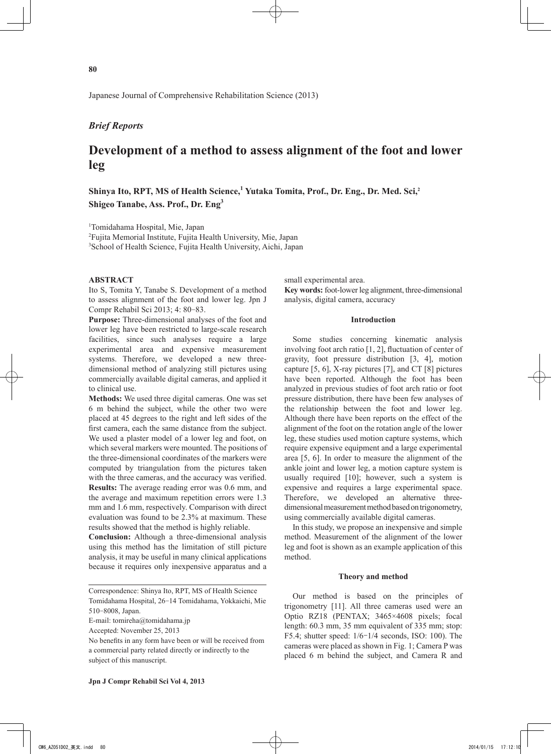Japanese Journal of Comprehensive Rehabilitation Science (2013)

# *Brief Reports*

# **Development of a method to assess alignment of the foot and lower leg**

Shinya Ito, RPT, MS of Health Science,<sup>1</sup> Yutaka Tomita, Prof., Dr. Eng., Dr. Med. Sci,<sup>2</sup> **Shigeo Tanabe, Ass. Prof., Dr. Eng<sup>3</sup>**

1 Tomidahama Hospital, Mie, Japan

2 Fujita Memorial Institute, Fujita Health University, Mie, Japan 3 School of Health Science, Fujita Health University, Aichi, Japan

### **ABSTRACT**

Ito S, Tomita Y, Tanabe S. Development of a method to assess alignment of the foot and lower leg. Jpn J Compr Rehabil Sci 2013; 4: 80-83.

**Purpose:** Three-dimensional analyses of the foot and lower leg have been restricted to large-scale research facilities, since such analyses require a large experimental area and expensive measurement systems. Therefore, we developed a new threedimensional method of analyzing still pictures using commercially available digital cameras, and applied it to clinical use.

**Methods:** We used three digital cameras. One was set 6 m behind the subject, while the other two were placed at 45 degrees to the right and left sides of the first camera, each the same distance from the subject. We used a plaster model of a lower leg and foot, on which several markers were mounted. The positions of the three-dimensional coordinates of the markers were computed by triangulation from the pictures taken with the three cameras, and the accuracy was verified. **Results:** The average reading error was 0.6 mm, and the average and maximum repetition errors were 1.3 mm and 1.6 mm, respectively. Comparison with direct evaluation was found to be 2.3% at maximum. These results showed that the method is highly reliable.

**Conclusion:** Although a three-dimensional analysis using this method has the limitation of still picture analysis, it may be useful in many clinical applications because it requires only inexpensive apparatus and a

Accepted: November 25, 2013

small experimental area.

**Key words:** foot-lower leg alignment, three-dimensional analysis, digital camera, accuracy

#### **Introduction**

Some studies concerning kinematic analysis involving foot arch ratio [1, 2], fluctuation of center of gravity, foot pressure distribution [3, 4], motion capture [5, 6], X-ray pictures [7], and CT [8] pictures have been reported. Although the foot has been analyzed in previous studies of foot arch ratio or foot pressure distribution, there have been few analyses of the relationship between the foot and lower leg. Although there have been reports on the effect of the alignment of the foot on the rotation angle of the lower leg, these studies used motion capture systems, which require expensive equipment and a large experimental area [5, 6]. In order to measure the alignment of the ankle joint and lower leg, a motion capture system is usually required [10]; however, such a system is expensive and requires a large experimental space. Therefore, we developed an alternative threedimensional measurement method based on trigonometry, using commercially available digital cameras.

In this study, we propose an inexpensive and simple method. Measurement of the alignment of the lower leg and foot is shown as an example application of this method.

#### **Theory and method**

Our method is based on the principles of trigonometry [11]. All three cameras used were an Optio RZ18 (PENTAX; 3465×4608 pixels; focal length: 60.3 mm, 35 mm equivalent of 335 mm; stop: F5.4; shutter speed: 1/6-1/4 seconds, ISO: 100). The cameras were placed as shown in Fig. 1; Camera P was placed 6 m behind the subject, and Camera R and

Correspondence: Shinya Ito, RPT, MS of Health Science Tomidahama Hospital, 26-14 Tomidahama, Yokkaichi, Mie 510-8008, Japan.

E-mail: tomireha@tomidahama.jp

No benefits in any form have been or will be received from a commercial party related directly or indirectly to the subject of this manuscript.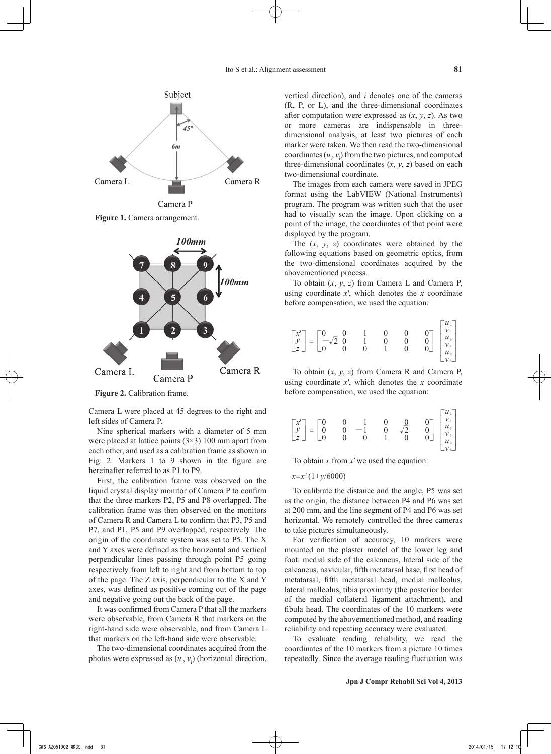

**Figure 1.** Camera arrangement.



**Figure 2.** Calibration frame.

Camera L were placed at 45 degrees to the right and left sides of Camera P.

Nine spherical markers with a diameter of 5 mm were placed at lattice points  $(3\times3)$  100 mm apart from each other, and used as a calibration frame as shown in Fig. 2. Markers 1 to 9 shown in the figure are hereinafter referred to as P1 to P9.

First, the calibration frame was observed on the liquid crystal display monitor of Camera P to confirm that the three markers P2, P5 and P8 overlapped. The calibration frame was then observed on the monitors of Camera R and Camera L to confirm that P3, P5 and P7, and P1, P5 and P9 overlapped, respectively. The origin of the coordinate system was set to P5. The X and Y axes were defined as the horizontal and vertical perpendicular lines passing through point P5 going respectively from left to right and from bottom to top of the page. The Z axis, perpendicular to the X and Y axes, was defined as positive coming out of the page and negative going out the back of the page.

It was confirmed from Camera P that all the markers were observable, from Camera R that markers on the right-hand side were observable, and from Camera L that markers on the left-hand side were observable.

The two-dimensional coordinates acquired from the photos were expressed as  $(u_i, v_i)$  (horizontal direction, vertical direction), and *i* denotes one of the cameras (R, P, or L), and the three-dimensional coordinates after computation were expressed as (*x*, *y*, *z*). As two or more cameras are indispensable in threedimensional analysis, at least two pictures of each marker were taken. We then read the two-dimensional coordinates  $(u_i, v_i)$  from the two pictures, and computed three-dimensional coordinates  $(x, y, z)$  based on each two-dimensional coordinate.

The images from each camera were saved in JPEG format using the LabVIEW (National Instruments) program. The program was written such that the user had to visually scan the image. Upon clicking on a point of the image, the coordinates of that point were displayed by the program.

The  $(x, y, z)$  coordinates were obtained by the following equations based on geometric optics, from the two-dimensional coordinates acquired by the abovementioned process.

To obtain (*x*, *y*, *z*) from Camera L and Camera P, using coordinate *x'*, which denotes the *x* coordinate before compensation, we used the equation:



To obtain (*x*, *y*, *z*) from Camera R and Camera P, using coordinate *x'*, which denotes the *x* coordinate before compensation, we used the equation:

| $\begin{bmatrix} x' \\ y \\ z \end{bmatrix} = \begin{bmatrix} 0 & 0 & 1 & 0 & 0 & 0 \\ 0 & 0 & -1 & 0 & \sqrt{2} & 0 \\ 0 & 0 & 0 & 1 & 0 & 0 \end{bmatrix} \begin{bmatrix} u_{\text{\tiny L}} \\ v_{\text{\tiny L}} \\ u_{\text{\tiny P}} \\ v_{\text{\tiny R}} \\ v_{\text{\tiny R}} \end{bmatrix}$ |  |  |  |
|-------------------------------------------------------------------------------------------------------------------------------------------------------------------------------------------------------------------------------------------------------------------------------------------------------|--|--|--|
|                                                                                                                                                                                                                                                                                                       |  |  |  |

To obtain *x* from *x'* we used the equation:

$$
x=x'(1+y/6000)
$$

To calibrate the distance and the angle, P5 was set as the origin, the distance between P4 and P6 was set at 200 mm, and the line segment of P4 and P6 was set horizontal. We remotely controlled the three cameras to take pictures simultaneously.

For verification of accuracy, 10 markers were mounted on the plaster model of the lower leg and foot: medial side of the calcaneus, lateral side of the calcaneus, navicular, fifth metatarsal base, first head of metatarsal, fifth metatarsal head, medial malleolus, lateral malleolus, tibia proximity (the posterior border of the medial collateral ligament attachment), and fibula head. The coordinates of the 10 markers were computed by the abovementioned method, and reading reliability and repeating accuracy were evaluated.

To evaluate reading reliability, we read the coordinates of the 10 markers from a picture 10 times repeatedly. Since the average reading fluctuation was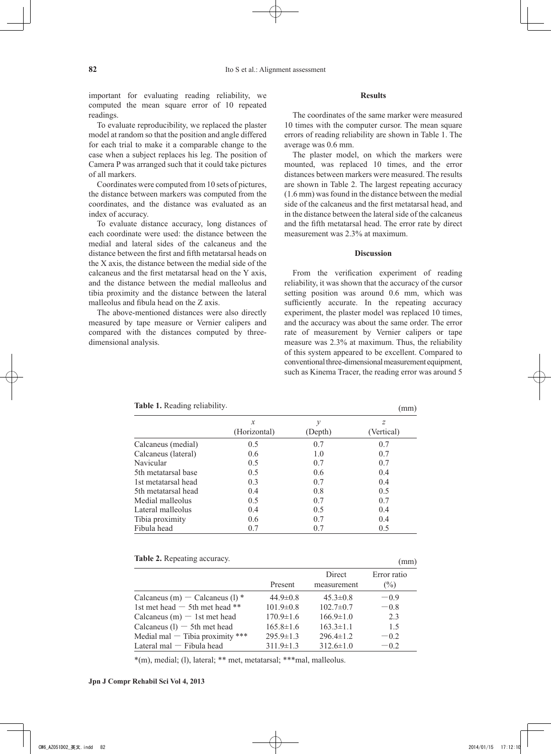important for evaluating reading reliability, we computed the mean square error of 10 repeated readings.

To evaluate reproducibility, we replaced the plaster model at random so that the position and angle differed for each trial to make it a comparable change to the case when a subject replaces his leg. The position of Camera P was arranged such that it could take pictures of all markers.

Coordinates were computed from 10 sets of pictures, the distance between markers was computed from the coordinates, and the distance was evaluated as an index of accuracy.

To evaluate distance accuracy, long distances of each coordinate were used: the distance between the medial and lateral sides of the calcaneus and the distance between the first and fifth metatarsal heads on the X axis, the distance between the medial side of the calcaneus and the first metatarsal head on the Y axis, and the distance between the medial malleolus and tibia proximity and the distance between the lateral malleolus and fibula head on the Z axis.

The above-mentioned distances were also directly measured by tape measure or Vernier calipers and compared with the distances computed by threedimensional analysis.

#### **Results**

The coordinates of the same marker were measured 10 times with the computer cursor. The mean square errors of reading reliability are shown in Table 1. The average was 0.6 mm.

The plaster model, on which the markers were mounted, was replaced 10 times, and the error distances between markers were measured. The results are shown in Table 2. The largest repeating accuracy (1.6 mm) was found in the distance between the medial side of the calcaneus and the first metatarsal head, and in the distance between the lateral side of the calcaneus and the fifth metatarsal head. The error rate by direct measurement was 2.3% at maximum.

#### **Discussion**

From the verification experiment of reading reliability, it was shown that the accuracy of the cursor setting position was around 0.6 mm, which was sufficiently accurate. In the repeating accuracy experiment, the plaster model was replaced 10 times, and the accuracy was about the same order. The error rate of measurement by Vernier calipers or tape measure was 2.3% at maximum. Thus, the reliability of this system appeared to be excellent. Compared to conventional three-dimensional measurement equipment, such as Kinema Tracer, the reading error was around 5

|                     | x            | у       | z          |
|---------------------|--------------|---------|------------|
|                     | (Horizontal) | (Depth) | (Vertical) |
| Calcaneus (medial)  | 0.5          | 0.7     | 0.7        |
| Calcaneus (lateral) | 0.6          | 1.0     | 0.7        |
| Navicular           | 0.5          | 0.7     | 0.7        |
| 5th metatarsal base | 0.5          | 0.6     | 0.4        |
| 1st metatarsal head | 0.3          | 0.7     | 0.4        |
| 5th metatarsal head | 0.4          | 0.8     | 0.5        |
| Medial malleolus    | 0.5          | 0.7     | 0.7        |
| Lateral malleolus   | 0.4          | 0.5     | 0.4        |
| Tibia proximity     | 0.6          | 0.7     | 0.4        |
| Fibula head         | 0.7          | 0.7     | 0.5        |

**Table 1.** Reading reliability. (mm)

| Table 2. Repeating accuracy. | (mm) |  |
|------------------------------|------|--|
|                              |      |  |

|                                    |                 | Direct          | Error ratio |
|------------------------------------|-----------------|-----------------|-------------|
|                                    | Present         | measurement     | $(\%)$      |
| Calcaneus (m) — Calcaneus (l) $*$  | 44.9 $\pm$ 0.8  | $45.3 \pm 0.8$  | $-0.9$      |
| 1st met head $-5$ th met head **   | $101.9 \pm 0.8$ | $102.7 \pm 0.7$ | $-0.8$      |
| Calcaneus $(m)$ - 1st met head     | $170.9 \pm 1.6$ | $166.9 \pm 1.0$ | 2.3         |
| Calcaneus $(l)$ - 5th met head     | $165.8 \pm 1.6$ | $163.3 \pm 1.1$ | 1.5         |
| Medial mal $-$ Tibia proximity *** | $295.9 \pm 1.3$ | $296.4 \pm 1.2$ | $-0.2$      |
| Lateral $mal$ - Fibula head        | $311.9 \pm 1.3$ | $312.6 \pm 1.0$ | $-0.2$      |

\*(m), medial; (l), lateral; \*\* met, metatarsal; \*\*\*mal, malleolus.